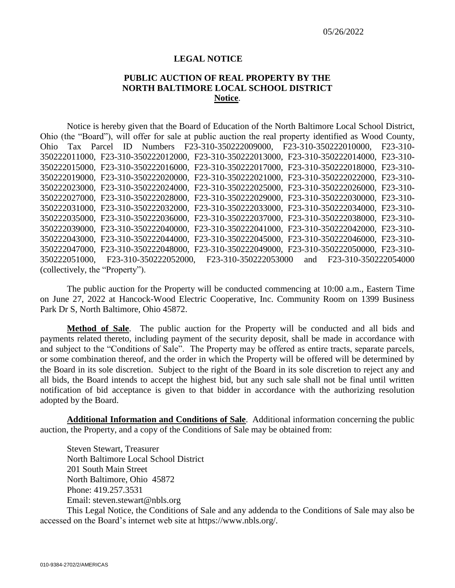## **LEGAL NOTICE**

## **PUBLIC AUCTION OF REAL PROPERTY BY THE NORTH BALTIMORE LOCAL SCHOOL DISTRICT Notice**.

Notice is hereby given that the Board of Education of the North Baltimore Local School District, Ohio (the "Board"), will offer for sale at public auction the real property identified as Wood County, Ohio Tax Parcel ID Numbers F23-310-350222009000, F23-310-350222010000, F23-310- 350222011000, F23-310-350222012000, F23-310-350222013000, F23-310-350222014000, F23-310- 350222015000, F23-310-350222016000, F23-310-350222017000, F23-310-350222018000, F23-310- 350222019000, F23-310-350222020000, F23-310-350222021000, F23-310-350222022000, F23-310- 350222023000, F23-310-350222024000, F23-310-350222025000, F23-310-350222026000, F23-310- 350222027000, F23-310-350222028000, F23-310-350222029000, F23-310-350222030000, F23-310- 350222031000, F23-310-350222032000, F23-310-350222033000, F23-310-350222034000, F23-310- 350222035000, F23-310-350222036000, F23-310-350222037000, F23-310-350222038000, F23-310- 350222039000, F23-310-350222040000, F23-310-350222041000, F23-310-350222042000, F23-310- 350222043000, F23-310-350222044000, F23-310-350222045000, F23-310-350222046000, F23-310- 350222047000, F23-310-350222048000, F23-310-350222049000, F23-310-350222050000, F23-310- 350222051000, F23-310-350222052000, F23-310-350222053000 and F23-310-350222054000 (collectively, the "Property").

The public auction for the Property will be conducted commencing at 10:00 a.m., Eastern Time on June 27, 2022 at Hancock-Wood Electric Cooperative, Inc. Community Room on 1399 Business Park Dr S, North Baltimore, Ohio 45872.

**Method of Sale**. The public auction for the Property will be conducted and all bids and payments related thereto, including payment of the security deposit, shall be made in accordance with and subject to the "Conditions of Sale". The Property may be offered as entire tracts, separate parcels, or some combination thereof, and the order in which the Property will be offered will be determined by the Board in its sole discretion. Subject to the right of the Board in its sole discretion to reject any and all bids, the Board intends to accept the highest bid, but any such sale shall not be final until written notification of bid acceptance is given to that bidder in accordance with the authorizing resolution adopted by the Board.

**Additional Information and Conditions of Sale**. Additional information concerning the public auction, the Property, and a copy of the Conditions of Sale may be obtained from:

Steven Stewart, Treasurer North Baltimore Local School District 201 South Main Street North Baltimore, Ohio 45872 Phone: 419.257.3531 Email: steven.stewart@nbls.org

This Legal Notice, the Conditions of Sale and any addenda to the Conditions of Sale may also be accessed on the Board's internet web site at https://www.nbls.org/.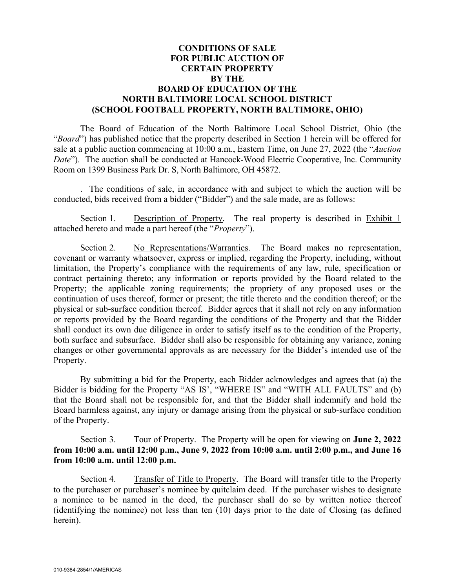## **CONDITIONS OF SALE FOR PUBLIC AUCTION OF CERTAIN PROPERTY BY THE BOARD OF EDUCATION OF THE NORTH BALTIMORE LOCAL SCHOOL DISTRICT (SCHOOL FOOTBALL PROPERTY, NORTH BALTIMORE, OHIO)**

The Board of Education of the North Baltimore Local School District, Ohio (the "*Board*") has published notice that the property described in Section 1 herein will be offered for sale at a public auction commencing at 10:00 a.m., Eastern Time, on June 27, 2022 (the "*Auction Date*"). The auction shall be conducted at Hancock-Wood Electric Cooperative, Inc. Community Room on 1399 Business Park Dr. S, North Baltimore, OH 45872.

. The conditions of sale, in accordance with and subject to which the auction will be conducted, bids received from a bidder ("Bidder") and the sale made, are as follows:

Section 1. Description of Property. The real property is described in Exhibit 1 attached hereto and made a part hereof (the "*Property*").

Section 2. No Representations/Warranties. The Board makes no representation, covenant or warranty whatsoever, express or implied, regarding the Property, including, without limitation, the Property's compliance with the requirements of any law, rule, specification or contract pertaining thereto; any information or reports provided by the Board related to the Property; the applicable zoning requirements; the propriety of any proposed uses or the continuation of uses thereof, former or present; the title thereto and the condition thereof; or the physical or sub-surface condition thereof. Bidder agrees that it shall not rely on any information or reports provided by the Board regarding the conditions of the Property and that the Bidder shall conduct its own due diligence in order to satisfy itself as to the condition of the Property, both surface and subsurface. Bidder shall also be responsible for obtaining any variance, zoning changes or other governmental approvals as are necessary for the Bidder's intended use of the Property.

By submitting a bid for the Property, each Bidder acknowledges and agrees that (a) the Bidder is bidding for the Property "AS IS', "WHERE IS" and "WITH ALL FAULTS" and (b) that the Board shall not be responsible for, and that the Bidder shall indemnify and hold the Board harmless against, any injury or damage arising from the physical or sub-surface condition of the Property.

Section 3. Tour of Property. The Property will be open for viewing on **June 2, 2022 from 10:00 a.m. until 12:00 p.m., June 9, 2022 from 10:00 a.m. until 2:00 p.m., and June 16 from 10:00 a.m. until 12:00 p.m.** 

Section 4. Transfer of Title to Property. The Board will transfer title to the Property to the purchaser or purchaser's nominee by quitclaim deed. If the purchaser wishes to designate a nominee to be named in the deed, the purchaser shall do so by written notice thereof (identifying the nominee) not less than ten (10) days prior to the date of Closing (as defined herein).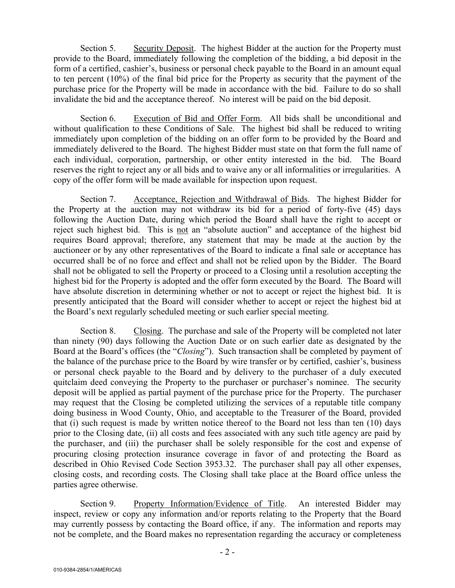Section 5. Security Deposit. The highest Bidder at the auction for the Property must provide to the Board, immediately following the completion of the bidding, a bid deposit in the form of a certified, cashier's, business or personal check payable to the Board in an amount equal to ten percent (10%) of the final bid price for the Property as security that the payment of the purchase price for the Property will be made in accordance with the bid. Failure to do so shall invalidate the bid and the acceptance thereof. No interest will be paid on the bid deposit.

Section 6. Execution of Bid and Offer Form. All bids shall be unconditional and without qualification to these Conditions of Sale. The highest bid shall be reduced to writing immediately upon completion of the bidding on an offer form to be provided by the Board and immediately delivered to the Board. The highest Bidder must state on that form the full name of each individual, corporation, partnership, or other entity interested in the bid. The Board reserves the right to reject any or all bids and to waive any or all informalities or irregularities. A copy of the offer form will be made available for inspection upon request.

Section 7. Acceptance, Rejection and Withdrawal of Bids. The highest Bidder for the Property at the auction may not withdraw its bid for a period of forty-five (45) days following the Auction Date, during which period the Board shall have the right to accept or reject such highest bid. This is not an "absolute auction" and acceptance of the highest bid requires Board approval; therefore, any statement that may be made at the auction by the auctioneer or by any other representatives of the Board to indicate a final sale or acceptance has occurred shall be of no force and effect and shall not be relied upon by the Bidder. The Board shall not be obligated to sell the Property or proceed to a Closing until a resolution accepting the highest bid for the Property is adopted and the offer form executed by the Board. The Board will have absolute discretion in determining whether or not to accept or reject the highest bid. It is presently anticipated that the Board will consider whether to accept or reject the highest bid at the Board's next regularly scheduled meeting or such earlier special meeting.

Section 8. Closing. The purchase and sale of the Property will be completed not later than ninety (90) days following the Auction Date or on such earlier date as designated by the Board at the Board's offices (the "*Closing*"). Such transaction shall be completed by payment of the balance of the purchase price to the Board by wire transfer or by certified, cashier's, business or personal check payable to the Board and by delivery to the purchaser of a duly executed quitclaim deed conveying the Property to the purchaser or purchaser's nominee. The security deposit will be applied as partial payment of the purchase price for the Property. The purchaser may request that the Closing be completed utilizing the services of a reputable title company doing business in Wood County, Ohio, and acceptable to the Treasurer of the Board, provided that (i) such request is made by written notice thereof to the Board not less than ten (10) days prior to the Closing date, (ii) all costs and fees associated with any such title agency are paid by the purchaser, and (iii) the purchaser shall be solely responsible for the cost and expense of procuring closing protection insurance coverage in favor of and protecting the Board as described in Ohio Revised Code Section 3953.32. The purchaser shall pay all other expenses, closing costs, and recording costs. The Closing shall take place at the Board office unless the parties agree otherwise.

Section 9. Property Information/Evidence of Title. An interested Bidder may inspect, review or copy any information and/or reports relating to the Property that the Board may currently possess by contacting the Board office, if any.The information and reports may not be complete, and the Board makes no representation regarding the accuracy or completeness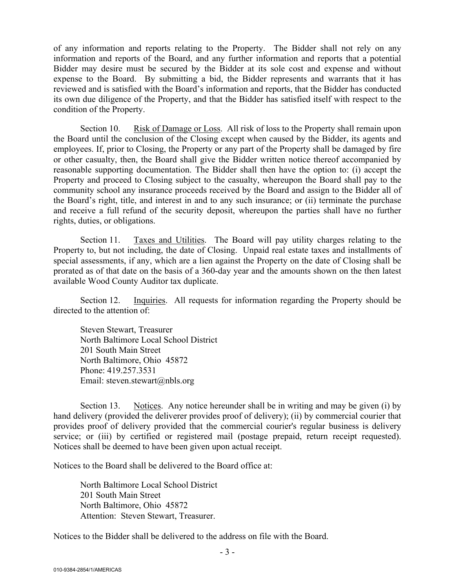of any information and reports relating to the Property. The Bidder shall not rely on any information and reports of the Board, and any further information and reports that a potential Bidder may desire must be secured by the Bidder at its sole cost and expense and without expense to the Board. By submitting a bid, the Bidder represents and warrants that it has reviewed and is satisfied with the Board's information and reports, that the Bidder has conducted its own due diligence of the Property, and that the Bidder has satisfied itself with respect to the condition of the Property.

Section 10. Risk of Damage or Loss. All risk of loss to the Property shall remain upon the Board until the conclusion of the Closing except when caused by the Bidder, its agents and employees. If, prior to Closing, the Property or any part of the Property shall be damaged by fire or other casualty, then, the Board shall give the Bidder written notice thereof accompanied by reasonable supporting documentation. The Bidder shall then have the option to: (i) accept the Property and proceed to Closing subject to the casualty, whereupon the Board shall pay to the community school any insurance proceeds received by the Board and assign to the Bidder all of the Board's right, title, and interest in and to any such insurance; or (ii) terminate the purchase and receive a full refund of the security deposit, whereupon the parties shall have no further rights, duties, or obligations.

Section 11. Taxes and Utilities. The Board will pay utility charges relating to the Property to, but not including, the date of Closing. Unpaid real estate taxes and installments of special assessments, if any, which are a lien against the Property on the date of Closing shall be prorated as of that date on the basis of a 360-day year and the amounts shown on the then latest available Wood County Auditor tax duplicate.

Section 12. Inquiries. All requests for information regarding the Property should be directed to the attention of:

Steven Stewart, Treasurer North Baltimore Local School District 201 South Main Street North Baltimore, Ohio 45872 Phone: 419.257.3531 Email: steven.stewart@nbls.org

Section 13. Notices. Any notice hereunder shall be in writing and may be given (i) by hand delivery (provided the deliverer provides proof of delivery); (ii) by commercial courier that provides proof of delivery provided that the commercial courier's regular business is delivery service; or (iii) by certified or registered mail (postage prepaid, return receipt requested). Notices shall be deemed to have been given upon actual receipt.

Notices to the Board shall be delivered to the Board office at:

North Baltimore Local School District 201 South Main Street North Baltimore, Ohio 45872 Attention: Steven Stewart, Treasurer.

Notices to the Bidder shall be delivered to the address on file with the Board.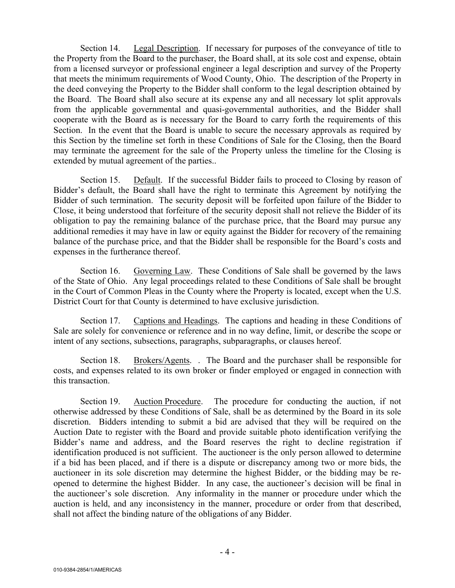Section 14. Legal Description. If necessary for purposes of the conveyance of title to the Property from the Board to the purchaser, the Board shall, at its sole cost and expense, obtain from a licensed surveyor or professional engineer a legal description and survey of the Property that meets the minimum requirements of Wood County, Ohio. The description of the Property in the deed conveying the Property to the Bidder shall conform to the legal description obtained by the Board. The Board shall also secure at its expense any and all necessary lot split approvals from the applicable governmental and quasi-governmental authorities, and the Bidder shall cooperate with the Board as is necessary for the Board to carry forth the requirements of this Section. In the event that the Board is unable to secure the necessary approvals as required by this Section by the timeline set forth in these Conditions of Sale for the Closing, then the Board may terminate the agreement for the sale of the Property unless the timeline for the Closing is extended by mutual agreement of the parties..

Section 15. Default. If the successful Bidder fails to proceed to Closing by reason of Bidder's default, the Board shall have the right to terminate this Agreement by notifying the Bidder of such termination. The security deposit will be forfeited upon failure of the Bidder to Close, it being understood that forfeiture of the security deposit shall not relieve the Bidder of its obligation to pay the remaining balance of the purchase price, that the Board may pursue any additional remedies it may have in law or equity against the Bidder for recovery of the remaining balance of the purchase price, and that the Bidder shall be responsible for the Board's costs and expenses in the furtherance thereof.

Section 16. Governing Law. These Conditions of Sale shall be governed by the laws of the State of Ohio. Any legal proceedings related to these Conditions of Sale shall be brought in the Court of Common Pleas in the County where the Property is located, except when the U.S. District Court for that County is determined to have exclusive jurisdiction.

Section 17. Captions and Headings. The captions and heading in these Conditions of Sale are solely for convenience or reference and in no way define, limit, or describe the scope or intent of any sections, subsections, paragraphs, subparagraphs, or clauses hereof.

Section 18. Brokers/Agents. . The Board and the purchaser shall be responsible for costs, and expenses related to its own broker or finder employed or engaged in connection with this transaction.

Section 19. Auction Procedure. The procedure for conducting the auction, if not otherwise addressed by these Conditions of Sale, shall be as determined by the Board in its sole discretion. Bidders intending to submit a bid are advised that they will be required on the Auction Date to register with the Board and provide suitable photo identification verifying the Bidder's name and address, and the Board reserves the right to decline registration if identification produced is not sufficient. The auctioneer is the only person allowed to determine if a bid has been placed, and if there is a dispute or discrepancy among two or more bids, the auctioneer in its sole discretion may determine the highest Bidder, or the bidding may be reopened to determine the highest Bidder. In any case, the auctioneer's decision will be final in the auctioneer's sole discretion. Any informality in the manner or procedure under which the auction is held, and any inconsistency in the manner, procedure or order from that described, shall not affect the binding nature of the obligations of any Bidder.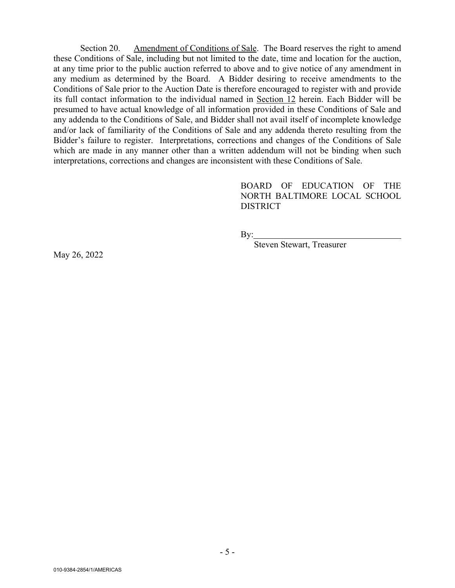Section 20. Amendment of Conditions of Sale. The Board reserves the right to amend these Conditions of Sale, including but not limited to the date, time and location for the auction, at any time prior to the public auction referred to above and to give notice of any amendment in any medium as determined by the Board. A Bidder desiring to receive amendments to the Conditions of Sale prior to the Auction Date is therefore encouraged to register with and provide its full contact information to the individual named in Section 12 herein. Each Bidder will be presumed to have actual knowledge of all information provided in these Conditions of Sale and any addenda to the Conditions of Sale, and Bidder shall not avail itself of incomplete knowledge and/or lack of familiarity of the Conditions of Sale and any addenda thereto resulting from the Bidder's failure to register. Interpretations, corrections and changes of the Conditions of Sale which are made in any manner other than a written addendum will not be binding when such interpretations, corrections and changes are inconsistent with these Conditions of Sale.

> BOARD OF EDUCATION OF THE NORTH BALTIMORE LOCAL SCHOOL DISTRICT

By:

Steven Stewart, Treasurer

May 26, 2022